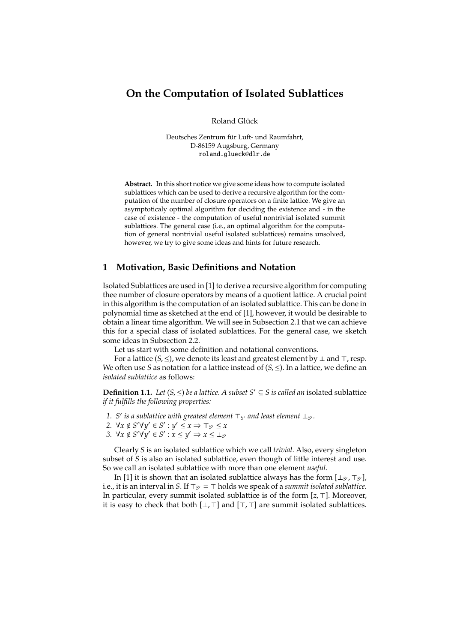# **On the Computation of Isolated Sublattices**

Roland Glück

Deutsches Zentrum für Luft- und Raumfahrt, D-86159 Augsburg, Germany roland.glueck@dlr.de

**Abstract.** In this short notice we give some ideas how to compute isolated sublattices which can be used to derive a recursive algorithm for the computation of the number of closure operators on a finite lattice. We give an asymptoticaly optimal algorithm for deciding the existence and - in the case of existence - the computation of useful nontrivial isolated summit sublattices. The general case (i.e., an optimal algorithm for the computation of general nontrivial useful isolated sublattices) remains unsolved, however, we try to give some ideas and hints for future research.

# **1 Motivation, Basic Definitions and Notation**

Isolated Sublattices are used in [1] to derive a recursive algorithm for computing thee number of closure operators by means of a quotient lattice. A crucial point in this algorithm is the computation of an isolated sublattice. This can be done in polynomial time as sketched at the end of [1], however, it would be desirable to obtain a linear time algorithm. We will see in Subsection 2.1 that we can achieve this for a special class of isolated sublattices. For the general case, we sketch some ideas in Subsection 2.2.

Let us start with some definition and notational conventions.

For a lattice (*S*, ≤), we denote its least and greatest element by ⊥ and ⊤, resp. We often use *S* as notation for a lattice instead of  $(S, \le)$ . In a lattice, we define an *isolated sublattice* as follows:

**Definition 1.1.** *Let*  $(S, ≤)$  *be a lattice. A subset*  $S' ⊆ S$  *is called an* isolated sublattice *if it fulfills the following properties:*

- *1. S*′ *is a sublattice with greatest element* ⊤*S*′ *and least element* ⊥*S*′ *.*
- 2.  $\forall x \notin S' \forall y' \in S' : y' \leq x \Rightarrow \top_{S'} \leq x$
- *3.*  $\forall x \notin S' \forall y' \in S' : x \leq y' \Rightarrow x \leq \perp_{S'}$

Clearly *S* is an isolated sublattice which we call *trivial*. Also, every singleton subset of *S* is also an isolated sublattice, even though of little interest and use. So we call an isolated sublattice with more than one element *useful*.

In [1] it is shown that an isolated sublattice always has the form [⊥<sub>S'</sub>, ⊤<sub>S'</sub>], i.e., it is an interval in *S*. If ⊤*S*′ = ⊤ holds we speak of a *summit isolated sublattice*. In particular, every summit isolated sublattice is of the form [*z*, ⊤]. Moreover, it is easy to check that both  $[\bot, \top]$  and  $[\top, \top]$  are summit isolated sublattices.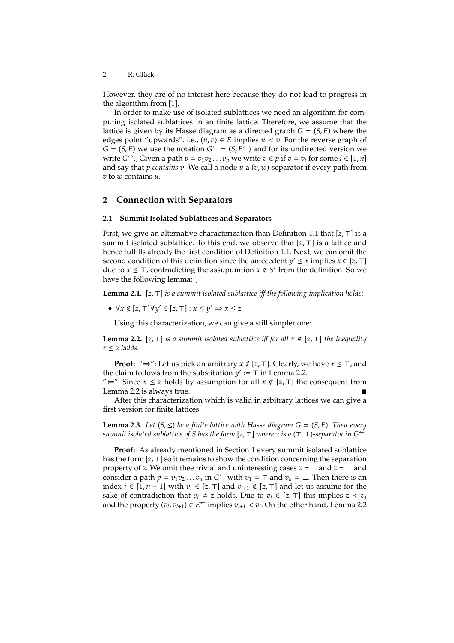2 R. Glück

However, they are of no interest here because they do not lead to progress in the algorithm from [1].

In order to make use of isolated sublattices we need an algorithm for computing isolated sublattices in an finite lattice. Therefore, we assume that the lattice is given by its Hasse diagram as a directed graph  $G = (S, E)$  where the edges point "upwards". i.e.,  $(u, v) \in E$  implies  $u < v$ . For the reverse graph of  $G = (S, E)$  we use the notation  $G^{\leftarrow} = (S, E^{\leftarrow})$  and for its undirected version we write  $G^{\leftrightarrow}$ ., Given a path  $p = v_1v_2 \dots v_n$  we write  $v \in p$  if  $v = v_i$  for some  $i \in [1, n]$ and say that *p contains v*. We call a node *u* a (*v*, *w*)-separator if every path from *v* to *w* contains *u*.

# **2 Connection with Separators**

#### **2.1 Summit Isolated Sublattices and Separators**

First, we give an alternative characterization than Definition 1.1 that [*z*, ⊤] is a summit isolated sublattice. To this end, we observe that [*z*, ⊤] is a lattice and hence fulfills already the first condition of Definition 1.1. Next, we can omit the second condition of this definition since the antecedent *y*'  $\leq$  *x* implies *x*  $\in$  [*z*,  $\top$ ] due to *x* ≤ ⊤, contradicting the assupumtion *x* ∉ *S*<sup>*'*</sup> from the definition. So we have the following lemma:

**Lemma 2.1.** [*z*, ⊤] *is a summit isolated sublattice i*ff *the following implication holds:*

 $\bullet$   $\forall x \notin [z, \top] \forall y' \in [z, \top] : x \leq y' \Rightarrow x \leq z.$ 

Using this characterization, we can give a still simpler one:

**Lemma 2.2.** [*z*, ⊤] *is a summit isolated sublattice i*ff *for all x* < [*z*, ⊤] *the inequality*  $x \leq z$  *holds.* 

**Proof:** "⇒": Let us pick an arbitrary *x* < [*z*, ⊤]. Clearly, we have *x* ≤ ⊤, and the claim follows from the substitution  $y' := T$  in Lemma 2.2.

" $\Leftarrow$ ": Since *x* ≤ *z* holds by assumption for all *x* ∉ [*z*, ⊤] the consequent from Lemma 2.2 is always true.

After this characterization which is valid in arbitrary lattices we can give a first version for finite lattices:

**Lemma 2.3.** *Let*  $(S, \leq)$  *be a finite lattice with Hasse diagram*  $G = (S, E)$ *. Then every summit isolated sublattice of S has the form* [ $z, \top$ ] *where z is a* ( $\top$ ,  $\bot$ )*-separator in*  $G^{\leftarrow}$ *.* 

**Proof:** As already mentioned in Section 1 every summit isolated sublattice has the form [*z*, ⊤] so it remains to show the condition concerning the separation property of *z*. We omit thee trivial and uninteresting cases *z* = ⊥ and *z* = ⊤ and consider a path  $p = v_1v_2 \ldots v_n$  in  $G^{\leftarrow}$  with  $v_1 = \top$  and  $v_n = \bot$ . Then there is an index *i* ∈ [1, *n* − 1] with  $v_i$  ∈ [*z*, ⊤] and  $v_{i+1}$  ∉ [*z*, ⊤] and let us assume for the sake of contradiction that  $v_i \neq z$  holds. Due to  $v_i \in [z, \top]$  this implies  $z < v_i$ and the property  $(v_i, v_{i+1}) \in E^{\leftarrow}$  implies  $v_{i+1} < v_i$ . On the other hand, Lemma 2.2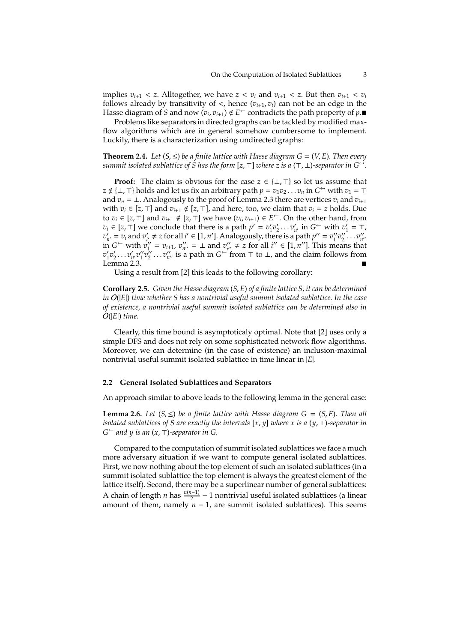implies  $v_{i+1} < z$ . Alltogether, we have  $z < v_i$  and  $v_{i+1} < z$ . But then  $v_{i+1} < v_i$ follows already by transitivity of  $\lt$ , hence  $(v_{i+1}, v_i)$  can not be an edge in the Hasse diagram of S and now  $(v_i, v_{i+1}) \notin E^{\leftarrow}$  contradicts the path property of  $p$ .

Problems like separators in directed graphs can be tackled by modified maxflow algorithms which are in general somehow cumbersome to implement. Luckily, there is a characterization using undirected graphs:

**Theorem 2.4.** Let  $(S, \leq)$  be a finite lattice with Hasse diagram  $G = (V, E)$ . Then every *summit isolated sublattice of S has the form* [ $z$ ,  $\top$ ] *where*  $z$  *is a* ( $\top$ ,  $\bot$ )-separator *in*  $G^{\leftrightarrow}$ .

**Proof:** The claim is obvious for the case  $z \in \{\perp, \top\}$  so let us assume that  $z \notin \{\bot, \top\}$  holds and let us fix an arbitrary path  $p = v_1v_2 \ldots v_n$  in  $G \hookrightarrow$  with  $v_1 = \top$ and  $v_n = \perp$ . Analogously to the proof of Lemma 2.3 there are vertices  $v_i$  and  $v_{i+1}$ with  $v_i$  ∈ [*z*, ⊤] and  $v_{i+1}$  ∉ [*z*, ⊤], and here, too, we claim that  $v_i$  = *z* holds. Due to  $v_i \in [z, \top]$  and  $v_{i+1} \notin [z, \top]$  we have  $(v_i, v_{i+1}) \in E^{\leftarrow}$ . On the other hand, from  $v_i \in [z, \top]$  we conclude that there is a path  $p' = v'_1 v'_2 \dots v'_{n'}$  in  $G^{\leftarrow}$  with  $v'_1 = \top$ ,  $v'_{n'} = v_i$  and  $v'_{i'} \neq z$  for all  $i' \in [1, n']$ . Analogously, there is a path  $p'' = v''_1 v''_2 \dots v''_{n''}$ in *G*<sup>←</sup> with  $v''_1 = v_{i+1}$ ,  $v''_{n''} = ⊥$  and  $v''_{i''} ≠ z$  for all  $i'' ∈ [1, n'']$ . This means that  $v'_1v'_2\dots v'_{n'}v''_1v''_2\dots v''_{n''}$  is a path in *G*<sup> $\leftarrow$ </sup> from ⊤ to ⊥, and the claim follows from Lemma 2.3.

Using a result from [2] this leads to the following corollary:

**Corollary 2.5.** *Given the Hasse diagram* (*S*, *E*) *of a finite lattice S, it can be determined in* O(|*E*|) *time whether S has a nontrivial useful summit isolated sublattice. In the case of existence, a nontrivial useful summit isolated sublattice can be determined also in* O(|*E*|) *time.*

Clearly, this time bound is asymptoticaly optimal. Note that [2] uses only a simple DFS and does not rely on some sophisticated network flow algorithms. Moreover, we can determine (in the case of existence) an inclusion-maximal nontrivial useful summit isolated sublattice in time linear in |*E*|.

#### **2.2 General Isolated Sublattices and Separators**

An approach similar to above leads to the following lemma in the general case:

**Lemma 2.6.** *Let*  $(S, \leq)$  *be a finite lattice with Hasse diagram*  $G = (S, E)$ *. Then all isolated sublattices of S are exactly the intervals* [*x*, *y*] *where x is a* (*y*, ⊥)*-separator in G* <sup>←</sup> *and y is an* (*x*, ⊤)*-separator in G.*

Compared to the computation of summit isolated sublattices we face a much more adversary situation if we want to compute general isolated sublattices. First, we now nothing about the top element of such an isolated sublattices (in a summit isolated sublattice the top element is always the greatest element of the lattice itself). Second, there may be a superlinear number of general sublattices: A chain of length *n* has  $\frac{n(n-1)}{2} - 1$  nontrivial useful isolated sublattices (a linear amount of them, namely  $n - 1$ , are summit isolated sublattices). This seems